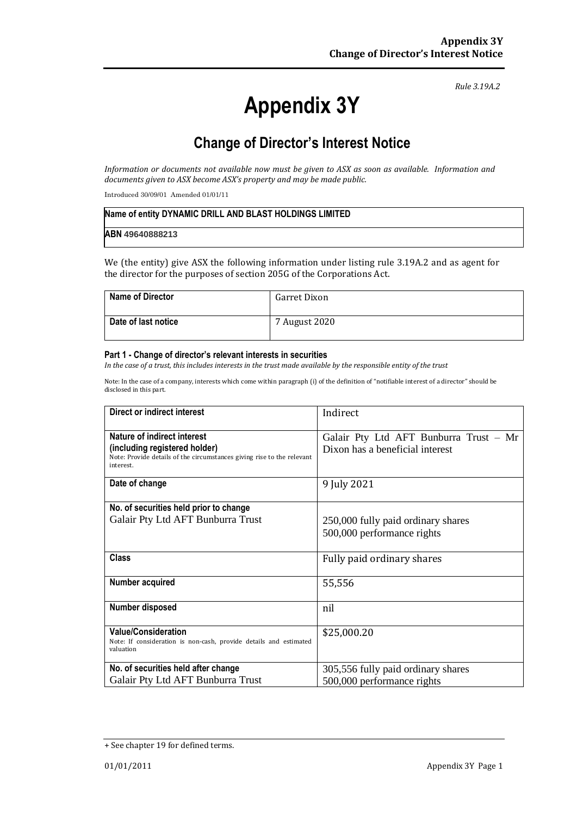# **Appendix 3Y**

*Rule 3.19A.2*

## **Change of Director's Interest Notice**

*Information or documents not available now must be given to ASX as soon as available. Information and documents given to ASX become ASX's property and may be made public.*

Introduced 30/09/01 Amended 01/01/11

# **Name of entity DYNAMIC DRILL AND BLAST HOLDINGS LIMITED ABN 49640888213**

We (the entity) give ASX the following information under listing rule 3.19A.2 and as agent for the director for the purposes of section 205G of the Corporations Act.

| <b>Name of Director</b> | Garret Dixon  |
|-------------------------|---------------|
| Date of last notice     | 7 August 2020 |

#### **Part 1 - Change of director's relevant interests in securities**

*In the case of a trust, this includes interests in the trust made available by the responsible entity of the trust*

Note: In the case of a company, interests which come within paragraph (i) of the definition of "notifiable interest of a director" should be disclosed in this part.

| Direct or indirect interest                                                         | Indirect                               |
|-------------------------------------------------------------------------------------|----------------------------------------|
| Nature of indirect interest                                                         | Galair Pty Ltd AFT Bunburra Trust - Mr |
| (including registered holder)                                                       | Dixon has a beneficial interest        |
| Note: Provide details of the circumstances giving rise to the relevant<br>interest. |                                        |
| Date of change                                                                      | 9 July 2021                            |
|                                                                                     |                                        |
| No. of securities held prior to change                                              |                                        |
| Galair Pty Ltd AFT Bunburra Trust                                                   | 250,000 fully paid ordinary shares     |
|                                                                                     | 500,000 performance rights             |
|                                                                                     |                                        |
| <b>Class</b>                                                                        | Fully paid ordinary shares             |
|                                                                                     |                                        |
| Number acquired                                                                     | 55,556                                 |
|                                                                                     |                                        |
| Number disposed                                                                     | nil                                    |
| <b>Value/Consideration</b>                                                          |                                        |
| Note: If consideration is non-cash, provide details and estimated                   | \$25,000.20                            |
| valuation                                                                           |                                        |
| No. of securities held after change                                                 | 305,556 fully paid ordinary shares     |
| Galair Pty Ltd AFT Bunburra Trust                                                   | 500,000 performance rights             |

<sup>+</sup> See chapter 19 for defined terms.